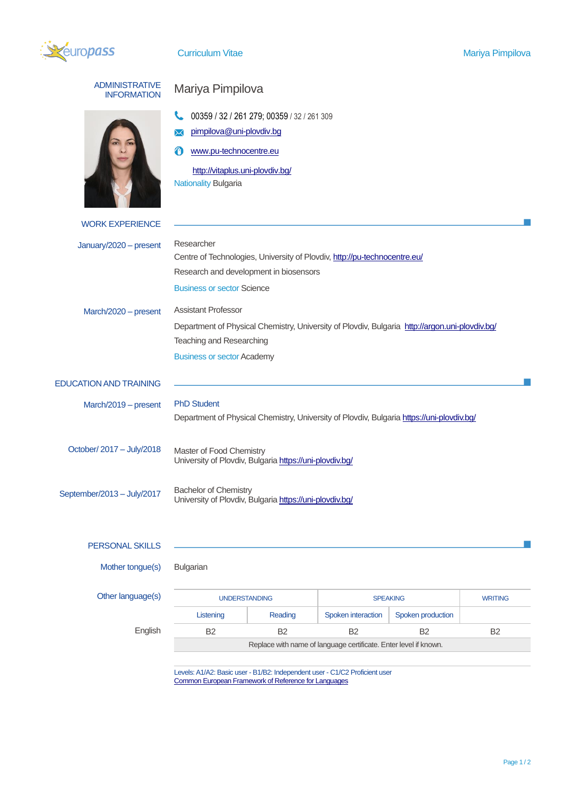

| <b>ADMINISTRATIVE</b><br><b>INFORMATION</b> | Mariya Pimpilova                                                                                                           |           |                    |                   |                |  |
|---------------------------------------------|----------------------------------------------------------------------------------------------------------------------------|-----------|--------------------|-------------------|----------------|--|
|                                             | 00359 / 32 / 261 279; 00359 / 32 / 261 309                                                                                 |           |                    |                   |                |  |
|                                             | pimpilova@uni-plovdiv.bg<br>✕                                                                                              |           |                    |                   |                |  |
|                                             | www.pu-technocentre.eu<br>A                                                                                                |           |                    |                   |                |  |
|                                             | http://vitaplus.uni-plovdiv.bg/                                                                                            |           |                    |                   |                |  |
|                                             | <b>Nationality Bulgaria</b>                                                                                                |           |                    |                   |                |  |
| <b>WORK EXPERIENCE</b>                      |                                                                                                                            |           |                    |                   |                |  |
| January/2020 - present                      | Researcher                                                                                                                 |           |                    |                   |                |  |
|                                             | Centre of Technologies, University of Plovdiv, http://pu-technocentre.eu/                                                  |           |                    |                   |                |  |
|                                             | Research and development in biosensors<br><b>Business or sector Science</b>                                                |           |                    |                   |                |  |
|                                             |                                                                                                                            |           |                    |                   |                |  |
| March/2020 - present                        | <b>Assistant Professor</b>                                                                                                 |           |                    |                   |                |  |
|                                             | Department of Physical Chemistry, University of Plovdiv, Bulgaria http://argon.uni-plovdiv.bg/<br>Teaching and Researching |           |                    |                   |                |  |
|                                             | <b>Business or sector Academy</b>                                                                                          |           |                    |                   |                |  |
|                                             |                                                                                                                            |           |                    |                   |                |  |
| <b>EDUCATION AND TRAINING</b>               |                                                                                                                            |           |                    |                   |                |  |
| March/2019 - present                        | <b>PhD Student</b><br>Department of Physical Chemistry, University of Plovdiv, Bulgaria https://uni-plovdiv.bg/            |           |                    |                   |                |  |
|                                             |                                                                                                                            |           |                    |                   |                |  |
| October/ 2017 - July/2018                   | Master of Food Chemistry                                                                                                   |           |                    |                   |                |  |
|                                             | University of Plovdiv, Bulgaria https://uni-plovdiv.bg/                                                                    |           |                    |                   |                |  |
|                                             | <b>Bachelor of Chemistry</b>                                                                                               |           |                    |                   |                |  |
|                                             | September/2013 - July/2017<br>University of Plovdiv, Bulgaria https://uni-plovdiv.bg/                                      |           |                    |                   |                |  |
|                                             |                                                                                                                            |           |                    |                   |                |  |
| PERSONAL SKILLS                             |                                                                                                                            |           |                    |                   |                |  |
| Mother tongue(s)                            | Bulgarian                                                                                                                  |           |                    |                   |                |  |
|                                             |                                                                                                                            |           |                    |                   |                |  |
| Other language(s)                           | <b>UNDERSTANDING</b>                                                                                                       |           | <b>SPEAKING</b>    |                   | <b>WRITING</b> |  |
|                                             | Listening                                                                                                                  | Reading   | Spoken interaction | Spoken production |                |  |
| English                                     | B <sub>2</sub>                                                                                                             | <b>B2</b> | <b>B2</b>          | <b>B2</b>         | B <sub>2</sub> |  |
|                                             | Replace with name of language certificate. Enter level if known.                                                           |           |                    |                   |                |  |

Levels: A1/A2: Basic user - B1/B2: Independent user - C1/C2 Proficient user [Common European Framework of Reference for Languages](http://europass.cedefop.europa.eu/en/resources/european-language-levels-cefr)